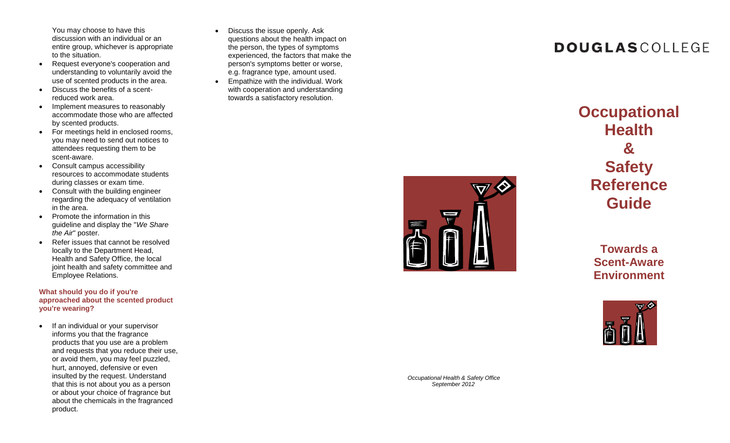You may choose to have this discussion with an individual or an entire group, whichever is appropriate to the situation.

- Request everyone's cooperation and understanding to voluntarily avoid the use of scented products in the area.
- Discuss the benefits of a scent reduced work area.
- Implement measures to reasonably accommodate those who are affected by scented products .
- For meetings held in enclosed rooms, you may need to send out notices to attendees requesting them to be scent -aware.
- Consult campus accessibility resources to accommodate students during classes or exam time.
- Consult with the building engineer regarding the adequacy of ventilation in the area.
- Promote the information in this guideline and display the "*We Share the Air*" poster.
- Refer issues that cannot be resolved locally to the Department Head, Health and Safety Office, the local joint health and safety committee and Employee Relations.

**What should you do if you're approached about the scented product you're wearing ?**

• If an individual or your supervisor informs you that the fragrance products that you use are a problem and requests that you reduce their use, or avoid them, you may feel puzzled, hurt, annoyed, defensive or even insulted by the request. Understand that this is not about you as a person or about your choice of fragrance but about the chemicals in the fragranced product.

- $\bullet$ Discuss the issue openly. Ask questions about the health impact on the person, the types of symptoms experienced, the factors that make the person's symptoms better or worse, e.g. fragrance type, amount used. **Empathize with the individual. Work** 
	- with cooperation and understanding towards a satisfactory resolution.

**Occupational Health & Safety Reference Guide**

**DOUGLASCOLLEGE** 

**Towards a Scent -Aware Environment**



*Occupational Health & Safety Office September 2012*